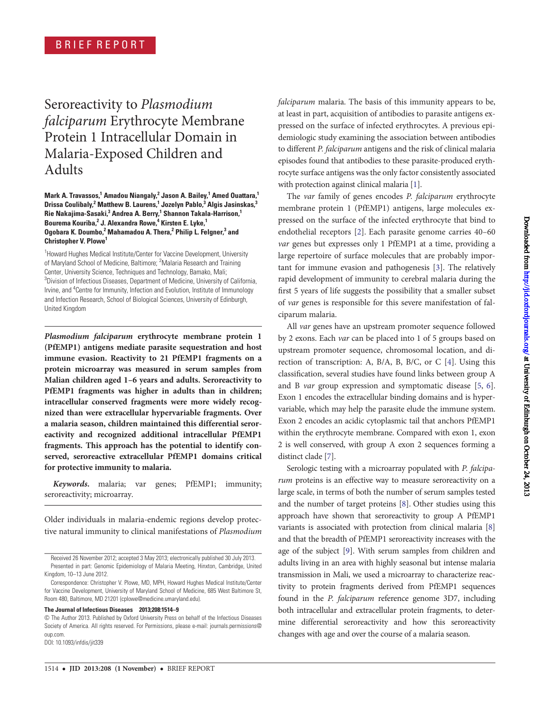# Seroreactivity to Plasmodium falciparum Erythrocyte Membrane Protein 1 Intracellular Domain in Malaria-Exposed Children and Adults

Mark A. Travassos,<sup>1</sup> Amadou Niangaly,<sup>2</sup> Jason A. Bailey,<sup>1</sup> Amed Ouattara,<sup>1</sup> Drissa Coulibaly,<sup>2</sup> Matthew B. Laurens,<sup>1</sup> Jozelyn Pablo,<sup>3</sup> Algis Jasinskas,<sup>3</sup> Rie Nakajima-Sasaki,<sup>3</sup> Andrea A. Berry,<sup>1</sup> Shannon Takala-Harrison,<sup>1</sup> Bourema Kouriba,<sup>2</sup> J. Alexandra Rowe,<sup>4</sup> Kirsten E. Lyke,<sup>1</sup> Ogobara K. Doumbo,<sup>2</sup> Mahamadou A. Thera,<sup>2</sup> Philip L. Felgner,<sup>3</sup> and Christopher V. Plowe<sup>1</sup>

<sup>1</sup> Howard Hughes Medical Institute/Center for Vaccine Development, University of Maryland School of Medicine, Baltimore; <sup>2</sup>Malaria Research and Training Center, University Science, Techniques and Technology, Bamako, Mali; <sup>3</sup>Division of Infectious Diseases, Department of Medicine, University of California, Irvine, and <sup>4</sup> Centre for Immunity, Infection and Evolution, Institute of Immunology and Infection Research, School of Biological Sciences, University of Edinburgh, United Kingdom

Plasmodium falciparum erythrocyte membrane protein 1 (PfEMP1) antigens mediate parasite sequestration and host immune evasion. Reactivity to 21 PfEMP1 fragments on a protein microarray was measured in serum samples from Malian children aged 1–6 years and adults. Seroreactivity to PfEMP1 fragments was higher in adults than in children; intracellular conserved fragments were more widely recognized than were extracellular hypervariable fragments. Over a malaria season, children maintained this differential seroreactivity and recognized additional intracellular PfEMP1 fragments. This approach has the potential to identify conserved, seroreactive extracellular PfEMP1 domains critical for protective immunity to malaria.

Keywords. malaria; var genes; PfEMP1; immunity; seroreactivity; microarray.

Older individuals in malaria-endemic regions develop protective natural immunity to clinical manifestations of Plasmodium

The Journal of Infectious Diseases 2013;208:1514–9

DOI: 10.1093/infdis/jit339

The var family of genes encodes P. falciparum erythrocyte membrane protein 1 (PfEMP1) antigens, large molecules expressed on the surface of the infected erythrocyte that bind to endothelial receptors [[2](#page-4-0)]. Each parasite genome carries 40–60 var genes but expresses only 1 PfEMP1 at a time, providing a large repertoire of surface molecules that are probably important for immune evasion and pathogenesis [\[3\]](#page-4-0). The relatively rapid development of immunity to cerebral malaria during the first 5 years of life suggests the possibility that a smaller subset of var genes is responsible for this severe manifestation of falciparum malaria.

All var genes have an upstream promoter sequence followed by 2 exons. Each var can be placed into 1 of 5 groups based on upstream promoter sequence, chromosomal location, and direction of transcription: A, B/A, B, B/C, or C [\[4\]](#page-4-0). Using this classification, several studies have found links between group A and B var group expression and symptomatic disease [[5,](#page-4-0) [6\]](#page-4-0). Exon 1 encodes the extracellular binding domains and is hypervariable, which may help the parasite elude the immune system. Exon 2 encodes an acidic cytoplasmic tail that anchors PfEMP1 within the erythrocyte membrane. Compared with exon 1, exon 2 is well conserved, with group A exon 2 sequences forming a distinct clade [[7](#page-4-0)].

Serologic testing with a microarray populated with P. falciparum proteins is an effective way to measure seroreactivity on a large scale, in terms of both the number of serum samples tested and the number of target proteins [\[8\]](#page-4-0). Other studies using this approach have shown that seroreactivity to group A PfEMP1 variants is associated with protection from clinical malaria [\[8\]](#page-4-0) and that the breadth of PfEMP1 seroreactivity increases with the age of the subject [\[9\]](#page-4-0). With serum samples from children and adults living in an area with highly seasonal but intense malaria transmission in Mali, we used a microarray to characterize reactivity to protein fragments derived from PfEMP1 sequences found in the P. falciparum reference genome 3D7, including both intracellular and extracellular protein fragments, to determine differential seroreactivity and how this seroreactivity changes with age and over the course of a malaria season.

Received 26 November 2012; accepted 3 May 2013; electronically published 30 July 2013. Presented in part: Genomic Epidemiology of Malaria Meeting, Hinxton, Cambridge, United Kingdom, 10–13 June 2012.

Correspondence: Christopher V. Plowe, MD, MPH, Howard Hughes Medical Institute/Center for Vaccine Development, University of Maryland School of Medicine, 685 West Baltimore St, Room 480, Baltimore, MD 21201 ([cplowe@medicine.umaryland.edu](mailto:cplowe@medicine.umaryland.edu)).

<sup>©</sup> The Author 2013. Published by Oxford University Press on behalf of the Infectious Diseases Society of America. All rights reserved. For Permissions, please e-mail: [journals.permissions@](mailto:journals.permissions@oup.com) [oup.com](mailto:journals.permissions@oup.com).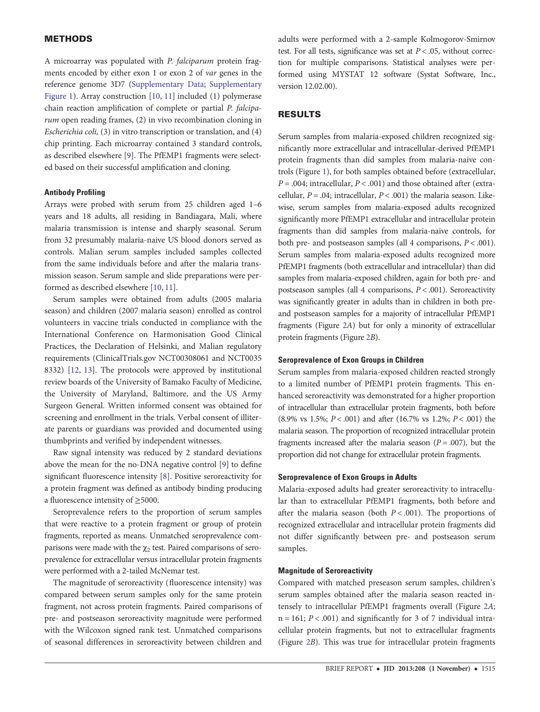## **METHODS**

A microarray was populated with P. falciparum protein fragments encoded by either exon 1 or exon 2 of var genes in the reference genome 3D7 ([Supplementary Data](http://jid.oxfordjournals.org/lookup/suppl/doi:10.1093/infdis/jit339/-/DC1); [Supplementary](http://jid.oxfordjournals.org/lookup/suppl/doi:10.1093/infdis/jit339/-/DC1) [Figure 1](http://jid.oxfordjournals.org/lookup/suppl/doi:10.1093/infdis/jit339/-/DC1)). Array construction [[10](#page-4-0), [11\]](#page-4-0) included (1) polymerase chain reaction amplification of complete or partial P. falciparum open reading frames, (2) in vivo recombination cloning in Escherichia coli, (3) in vitro transcription or translation, and (4) chip printing. Each microarray contained 3 standard controls, as described elsewhere [[9](#page-4-0)]. The PfEMP1 fragments were selected based on their successful amplification and cloning.

#### Antibody Profiling

Arrays were probed with serum from 25 children aged 1–6 years and 18 adults, all residing in Bandiagara, Mali, where malaria transmission is intense and sharply seasonal. Serum from 32 presumably malaria-naive US blood donors served as controls. Malian serum samples included samples collected from the same individuals before and after the malaria transmission season. Serum sample and slide preparations were performed as described elsewhere [\[10,](#page-4-0) [11](#page-4-0)].

Serum samples were obtained from adults (2005 malaria season) and children (2007 malaria season) enrolled as control volunteers in vaccine trials conducted in compliance with the International Conference on Harmonisation Good Clinical Practices, the Declaration of Helsinki, and Malian regulatory requirements (ClinicalTrials.gov NCT00308061 and NCT0035 8332) [[12,](#page-4-0) [13](#page-5-0)]. The protocols were approved by institutional review boards of the University of Bamako Faculty of Medicine, the University of Maryland, Baltimore, and the US Army Surgeon General. Written informed consent was obtained for screening and enrollment in the trials. Verbal consent of illiterate parents or guardians was provided and documented using thumbprints and verified by independent witnesses.

Raw signal intensity was reduced by 2 standard deviations above the mean for the no-DNA negative control [\[9\]](#page-4-0) to define significant fluorescence intensity [\[8\]](#page-4-0). Positive seroreactivity for a protein fragment was defined as antibody binding producing a fluorescence intensity of ≥5000.

Seroprevalence refers to the proportion of serum samples that were reactive to a protein fragment or group of protein fragments, reported as means. Unmatched seroprevalence comparisons were made with the  $\chi_2$  test. Paired comparisons of seroprevalence for extracellular versus intracellular protein fragments were performed with a 2-tailed McNemar test.

The magnitude of seroreactivity (fluorescence intensity) was compared between serum samples only for the same protein fragment, not across protein fragments. Paired comparisons of pre- and postseason seroreactivity magnitude were performed with the Wilcoxon signed rank test. Unmatched comparisons of seasonal differences in seroreactivity between children and adults were performed with a 2-sample Kolmogorov-Smirnov test. For all tests, significance was set at  $P < .05$ , without correction for multiple comparisons. Statistical analyses were performed using MYSTAT 12 software (Systat Software, Inc., version 12.02.00).

# RESULTS

Serum samples from malaria-exposed children recognized significantly more extracellular and intracellular-derived PfEMP1 protein fragments than did samples from malaria-naive controls (Figure [1](#page-2-0)), for both samples obtained before (extracellular,  $P = .004$ ; intracellular,  $P < .001$ ) and those obtained after (extracellular,  $P = .04$ ; intracellular,  $P < .001$ ) the malaria season. Likewise, serum samples from malaria-exposed adults recognized significantly more PfEMP1 extracellular and intracellular protein fragments than did samples from malaria-naive controls, for both pre- and postseason samples (all 4 comparisons,  $P < .001$ ). Serum samples from malaria-exposed adults recognized more PfEMP1 fragments (both extracellular and intracellular) than did samples from malaria-exposed children, again for both pre- and postseason samples (all 4 comparisons,  $P < .001$ ). Seroreactivity was significantly greater in adults than in children in both preand postseason samples for a majority of intracellular PfEMP1 fragments (Figure [2](#page-3-0)A) but for only a minority of extracellular protein fragments (Figure [2](#page-3-0)B).

#### Seroprevalence of Exon Groups in Children

Serum samples from malaria-exposed children reacted strongly to a limited number of PfEMP1 protein fragments. This enhanced seroreactivity was demonstrated for a higher proportion of intracellular than extracellular protein fragments, both before (8.9% vs 1.5%;  $P < .001$ ) and after (16.7% vs 1.2%;  $P < .001$ ) the malaria season. The proportion of recognized intracellular protein fragments increased after the malaria season ( $P = .007$ ), but the proportion did not change for extracellular protein fragments.

## Seroprevalence of Exon Groups in Adults

Malaria-exposed adults had greater seroreactivity to intracellular than to extracellular PfEMP1 fragments, both before and after the malaria season (both  $P < .001$ ). The proportions of recognized extracellular and intracellular protein fragments did not differ significantly between pre- and postseason serum samples.

#### Magnitude of Seroreactivity

Compared with matched preseason serum samples, children's serum samples obtained after the malaria season reacted intensely to intracellular PfEMP1 fragments overall (Figure [2](#page-3-0)A;  $n = 161$ ;  $P < .001$ ) and significantly for 3 of 7 individual intracellular protein fragments, but not to extracellular fragments (Figure [2](#page-3-0)B). This was true for intracellular protein fragments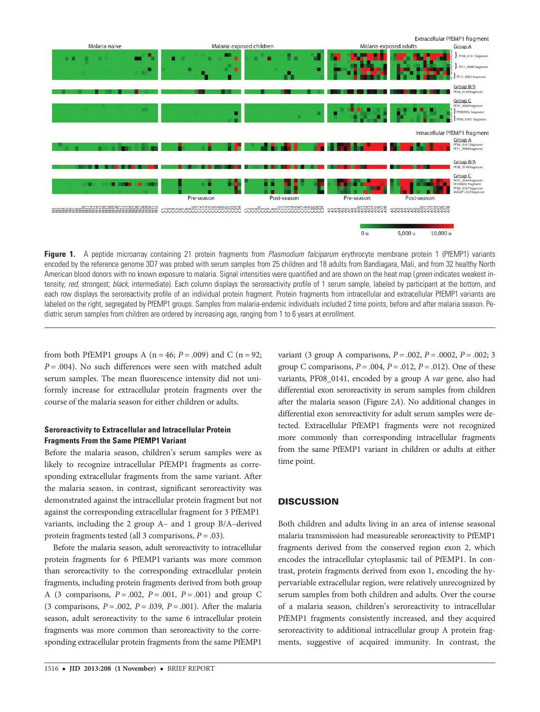<span id="page-2-0"></span>

Figure 1. A peptide microarray containing 21 protein fragments from Plasmodium falciparum erythrocyte membrane protein 1 (PfEMP1) variants encoded by the reference genome 3D7 was probed with serum samples from 25 children and 18 adults from Bandiagara, Mali, and from 32 healthy North American blood donors with no known exposure to malaria. Signal intensities were quantified and are shown on the heat map (green indicates weakest intensity; red, strongest; black, intermediate). Each column displays the seroreactivity profile of 1 serum sample, labeled by participant at the bottom, and each row displays the seroreactivity profile of an individual protein fragment. Protein fragments from intracellular and extracellular PfEMP1 variants are labeled on the right, segregated by PfEMP1 groups. Samples from malaria-endemic individuals included 2 time points, before and after malaria season. Pediatric serum samples from children are ordered by increasing age, ranging from 1 to 6 years at enrollment.

from both PfEMP1 groups A ( $n = 46$ ;  $P = .009$ ) and C ( $n = 92$ ;  $P = .004$ ). No such differences were seen with matched adult serum samples. The mean fluorescence intensity did not uniformly increase for extracellular protein fragments over the course of the malaria season for either children or adults.

## Seroreactivity to Extracellular and Intracellular Protein Fragments From the Same PfEMP1 Variant

Before the malaria season, children's serum samples were as likely to recognize intracellular PfEMP1 fragments as corresponding extracellular fragments from the same variant. After the malaria season, in contrast, significant seroreactivity was demonstrated against the intracellular protein fragment but not against the corresponding extracellular fragment for 3 PfEMP1 variants, including the 2 group A– and 1 group B/A–derived protein fragments tested (all 3 comparisons,  $P = .03$ ).

Before the malaria season, adult seroreactivity to intracellular protein fragments for 6 PfEMP1 variants was more common than seroreactivity to the corresponding extracellular protein fragments, including protein fragments derived from both group A (3 comparisons,  $P = .002$ ,  $P = .001$ ,  $P = .001$ ) and group C (3 comparisons,  $P = .002$ ,  $P = .039$ ,  $P = .001$ ). After the malaria season, adult seroreactivity to the same 6 intracellular protein fragments was more common than seroreactivity to the corresponding extracellular protein fragments from the same PfEMP1

variant (3 group A comparisons,  $P = .002$ ,  $P = .0002$ ,  $P = .002$ ; 3 group C comparisons,  $P = .004$ ,  $P = .012$ ,  $P = .012$ ). One of these variants, PF08\_0141, encoded by a group A var gene, also had differential exon seroreactivity in serum samples from children after the malaria season (Figure [2](#page-3-0)A). No additional changes in differential exon seroreactivity for adult serum samples were detected. Extracellular PfEMP1 fragments were not recognized more commonly than corresponding intracellular fragments from the same PfEMP1 variant in children or adults at either time point.

# **DISCUSSION**

Both children and adults living in an area of intense seasonal malaria transmission had measureable seroreactivity to PfEMP1 fragments derived from the conserved region exon 2, which encodes the intracellular cytoplasmic tail of PfEMP1. In contrast, protein fragments derived from exon 1, encoding the hypervariable extracellular region, were relatively unrecognized by serum samples from both children and adults. Over the course of a malaria season, children's seroreactivity to intracellular PfEMP1 fragments consistently increased, and they acquired seroreactivity to additional intracellular group A protein fragments, suggestive of acquired immunity. In contrast, the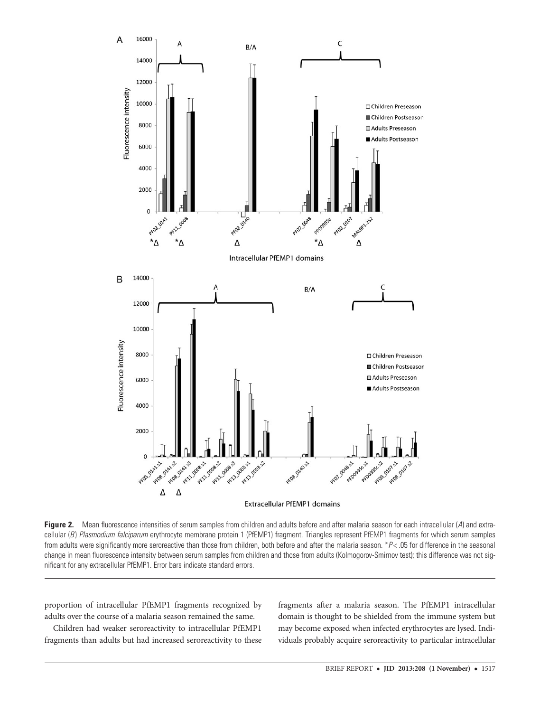<span id="page-3-0"></span>

Figure 2. Mean fluorescence intensities of serum samples from children and adults before and after malaria season for each intracellular (A) and extracellular (B) Plasmodium falciparum erythrocyte membrane protein 1 (PfEMP1) fragment. Triangles represent PfEMP1 fragments for which serum samples from adults were significantly more seroreactive than those from children, both before and after the malaria season. \*P< .05 for difference in the seasonal change in mean fluorescence intensity between serum samples from children and those from adults (Kolmogorov-Smirnov test); this difference was not significant for any extracellular PfEMP1. Error bars indicate standard errors.

proportion of intracellular PfEMP1 fragments recognized by adults over the course of a malaria season remained the same.

Children had weaker seroreactivity to intracellular PfEMP1 fragments than adults but had increased seroreactivity to these

fragments after a malaria season. The PfEMP1 intracellular domain is thought to be shielded from the immune system but may become exposed when infected erythrocytes are lysed. Individuals probably acquire seroreactivity to particular intracellular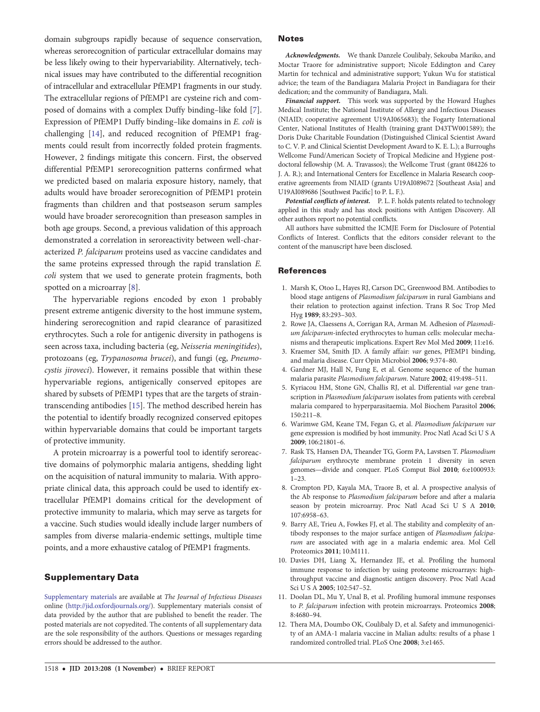<span id="page-4-0"></span>domain subgroups rapidly because of sequence conservation, whereas serorecognition of particular extracellular domains may be less likely owing to their hypervariability. Alternatively, technical issues may have contributed to the differential recognition of intracellular and extracellular PfEMP1 fragments in our study. The extracellular regions of PfEMP1 are cysteine rich and composed of domains with a complex Duffy binding–like fold [7]. Expression of PfEMP1 Duffy binding–like domains in E. coli is challenging [\[14\]](#page-5-0), and reduced recognition of PfEMP1 fragments could result from incorrectly folded protein fragments. However, 2 findings mitigate this concern. First, the observed differential PfEMP1 serorecognition patterns confirmed what we predicted based on malaria exposure history, namely, that adults would have broader serorecognition of PfEMP1 protein fragments than children and that postseason serum samples would have broader serorecognition than preseason samples in both age groups. Second, a previous validation of this approach demonstrated a correlation in seroreactivity between well-characterized P. falciparum proteins used as vaccine candidates and the same proteins expressed through the rapid translation E. coli system that we used to generate protein fragments, both spotted on a microarray [8].

The hypervariable regions encoded by exon 1 probably present extreme antigenic diversity to the host immune system, hindering serorecognition and rapid clearance of parasitized erythrocytes. Such a role for antigenic diversity in pathogens is seen across taxa, including bacteria (eg, Neisseria meningitides), protozoans (eg, Trypanosoma brucei), and fungi (eg, Pneumocystis jiroveci). However, it remains possible that within these hypervariable regions, antigenically conserved epitopes are shared by subsets of PfEMP1 types that are the targets of straintranscending antibodies [[15](#page-5-0)]. The method described herein has the potential to identify broadly recognized conserved epitopes within hypervariable domains that could be important targets of protective immunity.

A protein microarray is a powerful tool to identify seroreactive domains of polymorphic malaria antigens, shedding light on the acquisition of natural immunity to malaria. With appropriate clinical data, this approach could be used to identify extracellular PfEMP1 domains critical for the development of protective immunity to malaria, which may serve as targets for a vaccine. Such studies would ideally include larger numbers of samples from diverse malaria-endemic settings, multiple time points, and a more exhaustive catalog of PfEMP1 fragments.

### Supplementary Data

[Supplementary materials](http://jid.oxfordjournals.org/lookup/suppl/doi:10.1093/infdis/jit339/-/DC1) are available at The Journal of Infectious Diseases online ([http://jid.oxfordjournals.org/\)](http://jid.oxfordjournals.org/). Supplementary materials consist of data provided by the author that are published to benefit the reader. The posted materials are not copyedited. The contents of all supplementary data are the sole responsibility of the authors. Questions or messages regarding errors should be addressed to the author.

#### Notes

Acknowledgments. We thank Danzele Coulibaly, Sekouba Mariko, and Moctar Traore for administrative support; Nicole Eddington and Carey Martin for technical and administrative support; Yukun Wu for statistical advice; the team of the Bandiagara Malaria Project in Bandiagara for their dedication; and the community of Bandiagara, Mali.

Financial support. This work was supported by the Howard Hughes Medical Institute; the National Institute of Allergy and Infectious Diseases (NIAID; cooperative agreement U19AI065683); the Fogarty International Center, National Institutes of Health (training grant D43TW001589); the Doris Duke Charitable Foundation (Distinguished Clinical Scientist Award to C. V. P. and Clinical Scientist Development Award to K. E. L.); a Burroughs Wellcome Fund/American Society of Tropical Medicine and Hygiene postdoctoral fellowship (M. A. Travassos); the Wellcome Trust (grant 084226 to J. A. R.); and International Centers for Excellence in Malaria Research cooperative agreements from NIAID (grants U19AI089672 [Southeast Asia] and U19AI089686 [Southwest Pacific] to P. L. F.).

Potential conflicts of interest. P. L. F. holds patents related to technology applied in this study and has stock positions with Antigen Discovery. All other authors report no potential conflicts.

All authors have submitted the ICMJE Form for Disclosure of Potential Conflicts of Interest. Conflicts that the editors consider relevant to the content of the manuscript have been disclosed.

#### **References**

- 1. Marsh K, Otoo L, Hayes RJ, Carson DC, Greenwood BM. Antibodies to blood stage antigens of Plasmodium falciparum in rural Gambians and their relation to protection against infection. Trans R Soc Trop Med Hyg 1989; 83:293–303.
- 2. Rowe JA, Claessens A, Corrigan RA, Arman M. Adhesion of Plasmodium falciparum-infected erythrocytes to human cells: molecular mechanisms and therapeutic implications. Expert Rev Mol Med 2009; 11:e16.
- 3. Kraemer SM, Smith JD. A family affair: var genes, PfEMP1 binding, and malaria disease. Curr Opin Microbiol 2006; 9:374–80.
- 4. Gardner MJ, Hall N, Fung E, et al. Genome sequence of the human malaria parasite Plasmodium falciparum. Nature 2002; 419:498–511.
- 5. Kyriacou HM, Stone GN, Challis RJ, et al. Differential var gene transcription in Plasmodium falciparum isolates from patients with cerebral malaria compared to hyperparasitaemia. Mol Biochem Parasitol 2006; 150:211–8.
- 6. Warimwe GM, Keane TM, Fegan G, et al. Plasmodium falciparum var gene expression is modified by host immunity. Proc Natl Acad Sci U S A 2009; 106:21801–6.
- 7. Rask TS, Hansen DA, Theander TG, Gorm PA, Lavstsen T. Plasmodium falciparum erythrocyte membrane protein 1 diversity in seven genomes—divide and conquer. PLoS Comput Biol 2010; 6:e1000933: 1–23.
- 8. Crompton PD, Kayala MA, Traore B, et al. A prospective analysis of the Ab response to Plasmodium falciparum before and after a malaria season by protein microarray. Proc Natl Acad Sci U S A 2010; 107:6958–63.
- 9. Barry AE, Trieu A, Fowkes FJ, et al. The stability and complexity of antibody responses to the major surface antigen of Plasmodium falciparum are associated with age in a malaria endemic area. Mol Cell Proteomics 2011; 10:M111.
- 10. Davies DH, Liang X, Hernandez JE, et al. Profiling the humoral immune response to infection by using proteome microarrays: highthroughput vaccine and diagnostic antigen discovery. Proc Natl Acad Sci U S A 2005; 102:547–52.
- 11. Doolan DL, Mu Y, Unal B, et al. Profiling humoral immune responses to P. falciparum infection with protein microarrays. Proteomics 2008; 8:4680–94.
- 12. Thera MA, Doumbo OK, Coulibaly D, et al. Safety and immunogenicity of an AMA-1 malaria vaccine in Malian adults: results of a phase 1 randomized controlled trial. PLoS One 2008; 3:e1465.